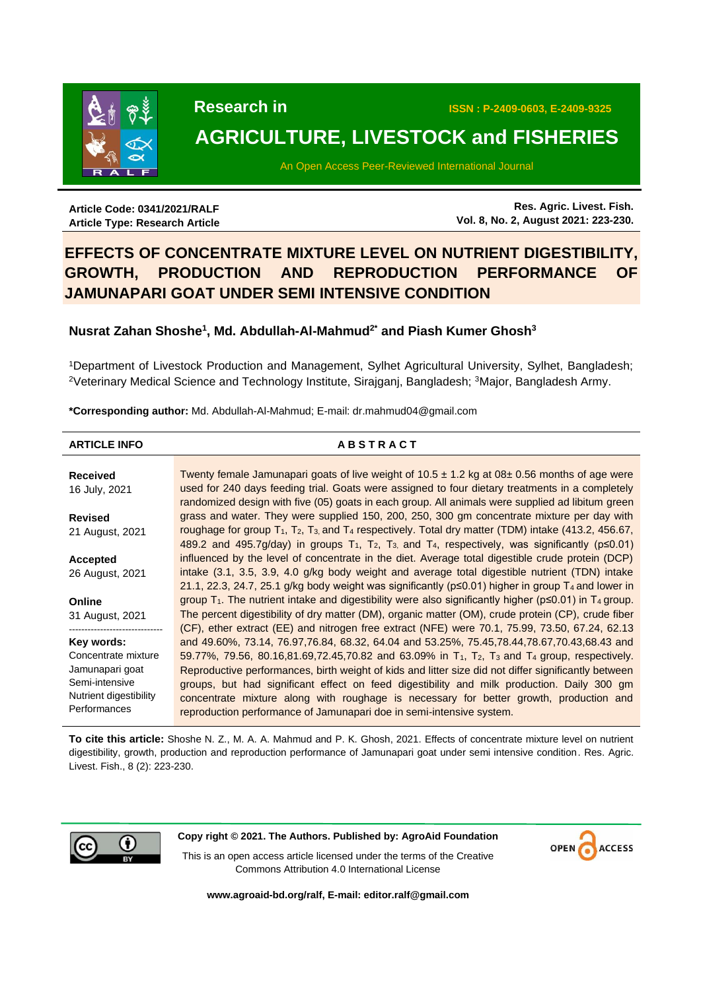

 **Research in ISSN : P-2409-0603, E-2409-9325**

# **AGRICULTURE, LIVESTOCK and FISHERIES**

An Open Access Peer-Reviewed International Journal

**Article Code: 0341/2021/RALF Article Type: Research Article**

**Res. Agric. Livest. Fish. Vol. 8, No. 2, August 2021: 223-230.**

# **EFFECTS OF CONCENTRATE MIXTURE LEVEL ON NUTRIENT DIGESTIBILITY, GROWTH, PRODUCTION AND REPRODUCTION PERFORMANCE OF JAMUNAPARI GOAT UNDER SEMI INTENSIVE CONDITION**

# **Nusrat Zahan Shoshe<sup>1</sup> , Md. Abdullah-Al-Mahmud2\* and Piash Kumer Ghosh<sup>3</sup>**

<sup>1</sup>Department of Livestock Production and Management, Sylhet Agricultural University, Sylhet, Bangladesh; <sup>2</sup>Veterinary Medical Science and Technology Institute, Sirajganj, Bangladesh; <sup>3</sup>Major, Bangladesh Army.

**\*Corresponding author:** Md. Abdullah-Al-Mahmud; E-mail: dr.mahmud04@gmail.com

#### **ARTICLE INFO A B S T R A C T Received** 16 July, 2021 **Revised** 21 August, 2021 **Accepted** 26 August, 2021 **Online** 31 August, 2021 ------------------------------ **Key words:** Concentrate mixture Jamunapari goat Semi-intensive Nutrient digestibility Performances Twenty female Jamunapari goats of live weight of  $10.5 \pm 1.2$  kg at  $08 \pm 0.56$  months of age were used for 240 days feeding trial. Goats were assigned to four dietary treatments in a completely randomized design with five (05) goats in each group. All animals were supplied ad libitum green grass and water. They were supplied 150, 200, 250, 300 gm concentrate mixture per day with roughage for group  $T_1$ ,  $T_2$ ,  $T_3$ , and  $T_4$  respectively. Total dry matter (TDM) intake (413.2, 456.67, 489.2 and 495.7g/day) in groups  $T_1$ ,  $T_2$ ,  $T_3$ , and  $T_4$ , respectively, was significantly ( $p \le 0.01$ ) influenced by the level of concentrate in the diet. Average total digestible crude protein (DCP) intake (3.1, 3.5, 3.9, 4.0 g/kg body weight and average total digestible nutrient (TDN) intake 21.1, 22.3, 24.7, 25.1 g/kg body weight was significantly ( $p \le 0.01$ ) higher in group T<sub>4</sub> and lower in group  $T_1$ . The nutrient intake and digestibility were also significantly higher ( $p \le 0.01$ ) in T<sub>4</sub> group. The percent digestibility of dry matter (DM), organic matter (OM), crude protein (CP), crude fiber (CF), ether extract (EE) and nitrogen free extract (NFE) were 70.1, 75.99, 73.50, 67.24, 62.13 and 49.60%, 73.14, 76.97,76.84, 68.32, 64.04 and 53.25%, 75.45,78.44,78.67,70.43,68.43 and 59.77%, 79.56, 80.16,81.69,72.45,70.82 and 63.09% in T<sub>1</sub>, T<sub>2</sub>, T<sub>3</sub> and T<sub>4</sub> group, respectively. Reproductive performances, birth weight of kids and litter size did not differ significantly between groups, but had significant effect on feed digestibility and milk production. Daily 300 gm concentrate mixture along with roughage is necessary for better growth, production and reproduction performance of Jamunapari doe in semi-intensive system.

**To cite this article:** Shoshe N. Z., M. A. A. Mahmud and P. K. Ghosh, 2021. Effects of concentrate mixture level on nutrient digestibility, growth, production and reproduction performance of Jamunapari goat under semi intensive condition. Res. Agric. Livest. Fish., 8 (2): 223-230.



**Copy right © 2021. The Authors. Published by: AgroAid Foundation**

**ACCESS** 

This is an open access article licensed under the terms of the Creative Commons Attribution 4.0 International License

**[www.agroaid-bd.org/ralf,](http://www.agroaid-bd.org/ralf) E-mail: [editor.ralf@gmail.com](mailto:editor.ralf@gmail.com)**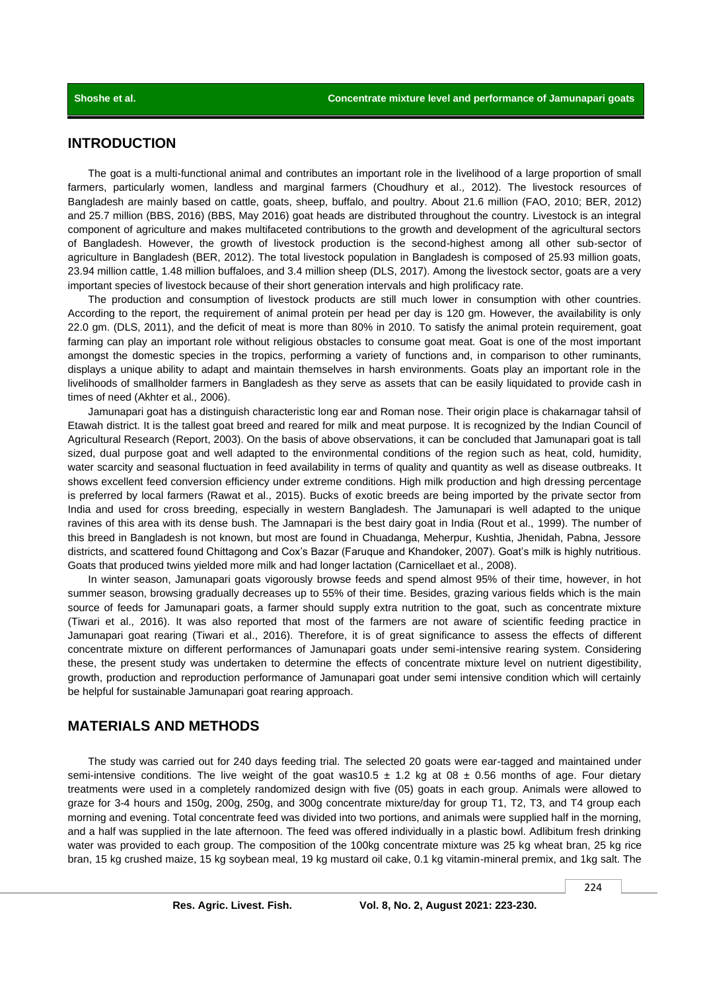# **INTRODUCTION**

The goat is a multi-functional animal and contributes an important role in the livelihood of a large proportion of small farmers, particularly women, landless and marginal farmers (Choudhury et al*.,* 2012). The livestock resources of Bangladesh are mainly based on cattle, goats, sheep, buffalo, and poultry. About 21.6 million (FAO, 2010; BER, 2012) and 25.7 million (BBS, 2016) (BBS, May 2016) goat heads are distributed throughout the country. Livestock is an integral component of agriculture and makes multifaceted contributions to the growth and development of the agricultural sectors of Bangladesh. However, the growth of livestock production is the second-highest among all other sub-sector of agriculture in Bangladesh (BER, 2012). The total livestock population in Bangladesh is composed of 25.93 million goats, 23.94 million cattle, 1.48 million buffaloes, and 3.4 million sheep (DLS, 2017). Among the livestock sector, goats are a very important species of livestock because of their short generation intervals and high prolificacy rate.

The production and consumption of livestock products are still much lower in consumption with other countries. According to the report, the requirement of animal protein per head per day is 120 gm. However, the availability is only 22.0 gm. (DLS, 2011), and the deficit of meat is more than 80% in 2010. To satisfy the animal protein requirement, goat farming can play an important role without religious obstacles to consume goat meat. Goat is one of the most important amongst the domestic species in the tropics, performing a variety of functions and, in comparison to other ruminants, displays a unique ability to adapt and maintain themselves in harsh environments. Goats play an important role in the livelihoods of smallholder farmers in Bangladesh as they serve as assets that can be easily liquidated to provide cash in times of need (Akhter et al*.,* 2006).

Jamunapari goat has a distinguish characteristic long ear and Roman nose. Their origin place is chakarnagar tahsil of Etawah district. It is the tallest goat breed and reared for milk and meat purpose. It is recognized by the Indian Council of Agricultural Research (Report, 2003). On the basis of above observations, it can be concluded that Jamunapari goat is tall sized, dual purpose goat and well adapted to the environmental conditions of the region such as heat, cold, humidity, water scarcity and seasonal fluctuation in feed availability in terms of quality and quantity as well as disease outbreaks. It shows excellent feed conversion efficiency under extreme conditions. High milk production and high dressing percentage is preferred by local farmers (Rawat et al., 2015). Bucks of exotic breeds are being imported by the private sector from India and used for cross breeding, especially in western Bangladesh. The Jamunapari is well adapted to the unique ravines of this area with its dense bush. The Jamnapari is the best dairy goat in India (Rout et al., 1999). The number of this breed in Bangladesh is not known, but most are found in Chuadanga, Meherpur, Kushtia, Jhenidah, Pabna, Jessore districts, and scattered found Chittagong and Cox's Bazar (Faruque and Khandoker, 2007). Goat's milk is highly nutritious. Goats that produced twins yielded more milk and had longer lactation (Carnicellaet et al*.,* 2008).

In winter season, Jamunapari goats vigorously browse feeds and spend almost 95% of their time, however, in hot summer season, browsing gradually decreases up to 55% of their time. Besides, grazing various fields which is the main source of feeds for Jamunapari goats, a farmer should supply extra nutrition to the goat, such as concentrate mixture (Tiwari et al., 2016). It was also reported that most of the farmers are not aware of scientific feeding practice in Jamunapari goat rearing (Tiwari et al., 2016). Therefore, it is of great significance to assess the effects of different concentrate mixture on different performances of Jamunapari goats under semi-intensive rearing system. Considering these, the present study was undertaken to determine the effects of concentrate mixture level on nutrient digestibility, growth, production and reproduction performance of Jamunapari goat under semi intensive condition which will certainly be helpful for sustainable Jamunapari goat rearing approach.

## **MATERIALS AND METHODS**

The study was carried out for 240 days feeding trial. The selected 20 goats were ear-tagged and maintained under semi-intensive conditions. The live weight of the goat was10.5  $\pm$  1.2 kg at 08  $\pm$  0.56 months of age. Four dietary treatments were used in a completely randomized design with five (05) goats in each group. Animals were allowed to graze for 3-4 hours and 150g, 200g, 250g, and 300g concentrate mixture/day for group T1, T2, T3, and T4 group each morning and evening. Total concentrate feed was divided into two portions, and animals were supplied half in the morning, and a half was supplied in the late afternoon. The feed was offered individually in a plastic bowl. Adlibitum fresh drinking water was provided to each group. The composition of the 100kg concentrate mixture was 25 kg wheat bran, 25 kg rice bran, 15 kg crushed maize, 15 kg soybean meal, 19 kg mustard oil cake, 0.1 kg vitamin-mineral premix, and 1kg salt. The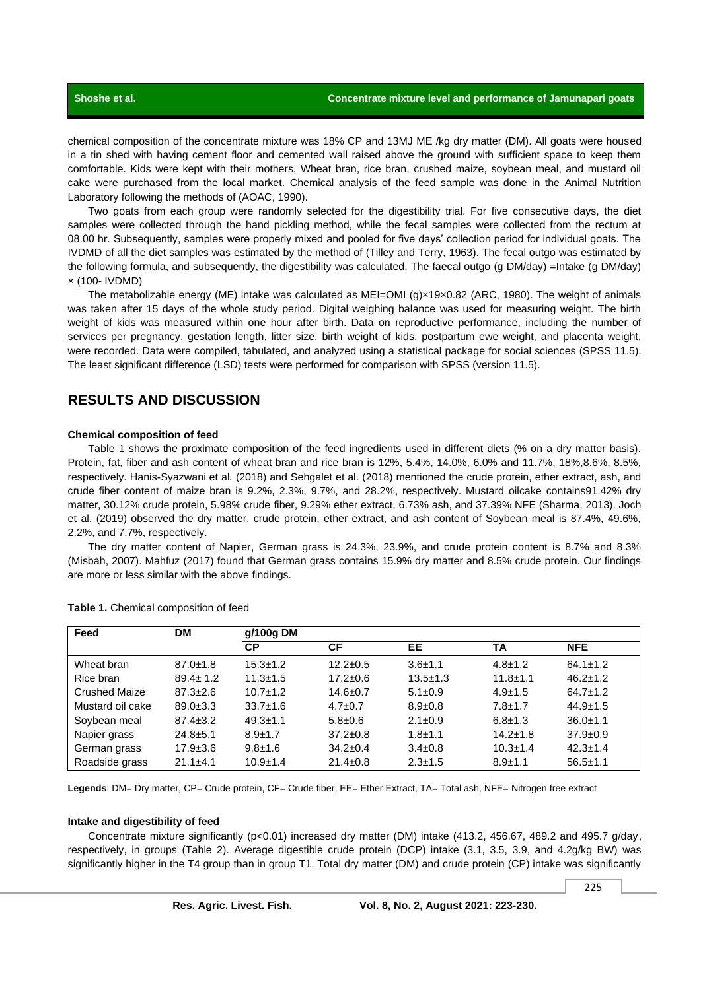chemical composition of the concentrate mixture was 18% CP and 13MJ ME /kg dry matter (DM). All goats were housed in a tin shed with having cement floor and cemented wall raised above the ground with sufficient space to keep them comfortable. Kids were kept with their mothers. Wheat bran, rice bran, crushed maize, soybean meal, and mustard oil cake were purchased from the local market. Chemical analysis of the feed sample was done in the Animal Nutrition Laboratory following the methods of (AOAC, 1990).

Two goats from each group were randomly selected for the digestibility trial. For five consecutive days, the diet samples were collected through the hand pickling method, while the fecal samples were collected from the rectum at 08.00 hr. Subsequently, samples were properly mixed and pooled for five days' collection period for individual goats. The IVDMD of all the diet samples was estimated by the method of (Tilley and Terry, 1963). The fecal outgo was estimated by the following formula, and subsequently, the digestibility was calculated. The faecal outgo (g DM/day) =Intake (g DM/day) × (100- IVDMD)

The metabolizable energy (ME) intake was calculated as MEI=OMI (g)×19×0.82 (ARC, 1980). The weight of animals was taken after 15 days of the whole study period. Digital weighing balance was used for measuring weight. The birth weight of kids was measured within one hour after birth. Data on reproductive performance, including the number of services per pregnancy, gestation length, litter size, birth weight of kids, postpartum ewe weight, and placenta weight, were recorded. Data were compiled, tabulated, and analyzed using a statistical package for social sciences (SPSS 11.5). The least significant difference (LSD) tests were performed for comparison with SPSS (version 11.5).

# **RESULTS AND DISCUSSION**

#### **Chemical composition of feed**

Table 1 shows the proximate composition of the feed ingredients used in different diets (% on a dry matter basis). Protein, fat, fiber and ash content of wheat bran and rice bran is 12%, 5.4%, 14.0%, 6.0% and 11.7%, 18%,8.6%, 8.5%, respectively. Hanis-Syazwani et al*.* (2018) and Sehgalet et al. (2018) mentioned the crude protein, ether extract, ash, and crude fiber content of maize bran is 9.2%, 2.3%, 9.7%, and 28.2%, respectively. Mustard oilcake contains91.42% dry matter, 30.12% crude protein, 5.98% crude fiber, 9.29% ether extract, 6.73% ash, and 37.39% NFE (Sharma, 2013). Joch et al. (2019) observed the dry matter, crude protein, ether extract, and ash content of Soybean meal is 87.4%, 49.6%, 2.2%, and 7.7%, respectively.

The dry matter content of Napier, German grass is 24.3%, 23.9%, and crude protein content is 8.7% and 8.3% (Misbah, 2007). Mahfuz (2017) found that German grass contains 15.9% dry matter and 8.5% crude protein. Our findings are more or less similar with the above findings.

| Feed                 | <b>DM</b>      | g/100g DM      |                |                |                |                |  |
|----------------------|----------------|----------------|----------------|----------------|----------------|----------------|--|
|                      |                | <b>CP</b>      | СF             | EE             | ТA             | <b>NFE</b>     |  |
| Wheat bran           | $87.0 \pm 1.8$ | $15.3 \pm 1.2$ | $12.2 \pm 0.5$ | $3.6 + 1.1$    | $4.8 \pm 1.2$  | $64.1 \pm 1.2$ |  |
| Rice bran            | $89.4 \pm 1.2$ | $11.3 \pm 1.5$ | $17.2 \pm 0.6$ | $13.5 \pm 1.3$ | $11.8 + 1.1$   | $46.2 \pm 1.2$ |  |
| <b>Crushed Maize</b> | $87.3 \pm 2.6$ | $10.7 \pm 1.2$ | $14.6 \pm 0.7$ | $5.1 \pm 0.9$  | $4.9 \pm 1.5$  | $64.7 \pm 1.2$ |  |
| Mustard oil cake     | $89.0 \pm 3.3$ | $33.7 \pm 1.6$ | $4.7 \pm 0.7$  | $8.9 + 0.8$    | $7.8 + 1.7$    | $44.9 \pm 1.5$ |  |
| Soybean meal         | $87.4 \pm 3.2$ | $49.3 \pm 1.1$ | $5.8 \pm 0.6$  | $2.1 \pm 0.9$  | $6.8 \pm 1.3$  | $36.0 \pm 1.1$ |  |
| Napier grass         | $24.8 + 5.1$   | $8.9 + 1.7$    | $37.2 \pm 0.8$ | $1.8 + 1.1$    | $14.2 \pm 1.8$ | $37.9 \pm 0.9$ |  |
| German grass         | $17.9 \pm 3.6$ | $9.8 \pm 1.6$  | $34.2 \pm 0.4$ | $3.4 \pm 0.8$  | $10.3 + 1.4$   | $42.3 \pm 1.4$ |  |
| Roadside grass       | $21.1 \pm 4.1$ | $10.9 + 1.4$   | $21.4 \pm 0.8$ | $2.3 \pm 1.5$  | $8.9 + 1.1$    | $56.5 \pm 1.1$ |  |

**Table 1.** Chemical composition of feed

**Legends**: DM= Dry matter, CP= Crude protein, CF= Crude fiber, EE= Ether Extract, TA= Total ash, NFE= Nitrogen free extract

#### **Intake and digestibility of feed**

Concentrate mixture significantly (p<0.01) increased dry matter (DM) intake (413.2, 456.67, 489.2 and 495.7 g/day, respectively, in groups (Table 2). Average digestible crude protein (DCP) intake (3.1, 3.5, 3.9, and 4.2g/kg BW) was significantly higher in the T4 group than in group T1. Total dry matter (DM) and crude protein (CP) intake was significantly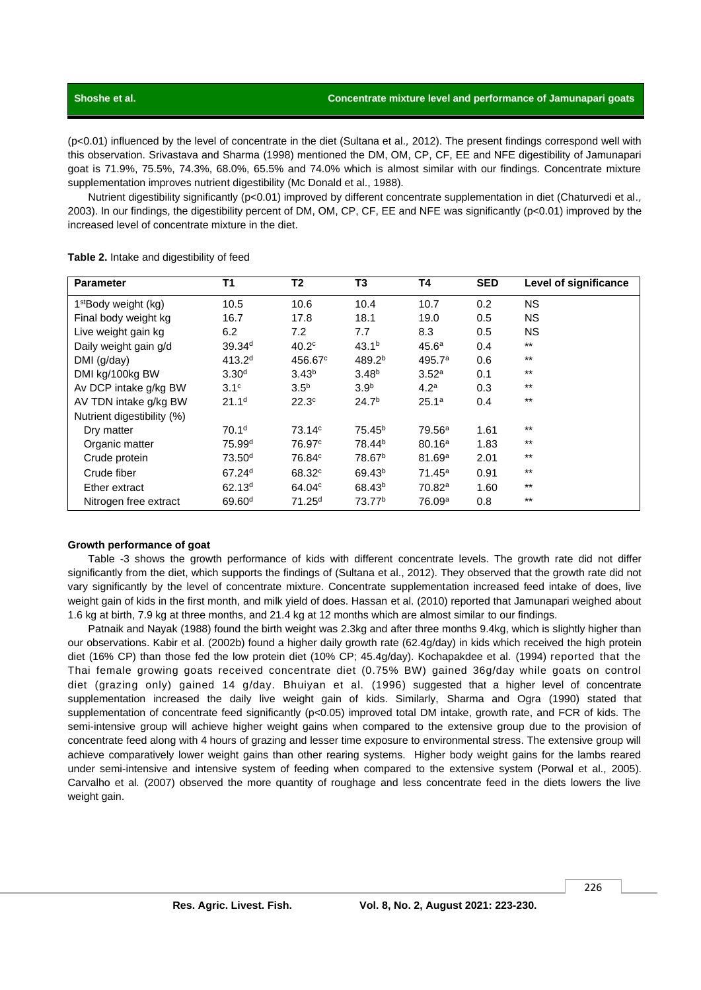### **Shoshe et al. Concentrate mixture level and performance of Jamunapari goats**

(p<0.01) influenced by the level of concentrate in the diet (Sultana et al*.,* 2012). The present findings correspond well with this observation. Srivastava and Sharma (1998) mentioned the DM, OM, CP, CF, EE and NFE digestibility of Jamunapari goat is 71.9%, 75.5%, 74.3%, 68.0%, 65.5% and 74.0% which is almost similar with our findings. Concentrate mixture supplementation improves nutrient digestibility (Mc Donald et al., 1988).

Nutrient digestibility significantly (p<0.01) improved by different concentrate supplementation in diet (Chaturvedi et al*.,* 2003). In our findings, the digestibility percent of DM, OM, CP, CF, EE and NFE was significantly (p<0.01) improved by the increased level of concentrate mixture in the diet.

| <b>Parameter</b>           | T <sub>1</sub>     | T <sub>2</sub>     | T3                 | Τ4                 | <b>SED</b> | Level of significance |
|----------------------------|--------------------|--------------------|--------------------|--------------------|------------|-----------------------|
| $1st$ Body weight (kg)     | 10.5               | 10.6               | 10.4               | 10.7               | 0.2        | <b>NS</b>             |
| Final body weight kg       | 16.7               | 17.8               | 18.1               | 19.0               | 0.5        | <b>NS</b>             |
| Live weight gain kg        | 6.2                | 7.2                | 7.7                | 8.3                | 0.5        | <b>NS</b>             |
| Daily weight gain g/d      | 39.34 <sup>d</sup> | 40.2 <sup>c</sup>  | 43.1 <sup>b</sup>  | 45.6 <sup>a</sup>  | 0.4        | $***$                 |
| DMI (g/day)                | 413.2 <sup>d</sup> | 456.67°            | 489.2 <sup>b</sup> | 495.7 <sup>a</sup> | 0.6        | $***$                 |
| DMI kg/100kg BW            | 3.30 <sup>d</sup>  | 3.43 <sup>b</sup>  | 3.48 <sup>b</sup>  | 3.52 <sup>a</sup>  | 0.1        | $***$                 |
| Av DCP intake g/kg BW      | 3.1 <sup>c</sup>   | 3.5 <sup>b</sup>   | 3.9 <sup>b</sup>   | 4.2 <sup>a</sup>   | 0.3        | $***$                 |
| AV TDN intake g/kg BW      | 21.1 <sup>d</sup>  | 22.3 <sup>c</sup>  | 24.7 <sup>b</sup>  | 25.1 <sup>a</sup>  | 0.4        | $***$                 |
| Nutrient digestibility (%) |                    |                    |                    |                    |            |                       |
| Dry matter                 | 70.1 <sup>d</sup>  | $73.14^{\circ}$    | 75.45 <sup>b</sup> | 79.56 <sup>a</sup> | 1.61       | $***$                 |
| Organic matter             | 75.99 <sup>d</sup> | 76.97 <sup>c</sup> | 78.44 <sup>b</sup> | 80.16 <sup>a</sup> | 1.83       | $***$                 |
| Crude protein              | 73.50 <sup>d</sup> | 76.84 <sup>c</sup> | 78.67 <sup>b</sup> | 81.69a             | 2.01       | $***$                 |
| Crude fiber                | 67.24 <sup>d</sup> | 68.32 <sup>c</sup> | 69.43 <sup>b</sup> | $71.45^a$          | 0.91       | $***$                 |
| Ether extract              | 62.13 <sup>d</sup> | 64.04 <sup>c</sup> | 68.43 <sup>b</sup> | 70.82a             | 1.60       | $***$                 |
| Nitrogen free extract      | 69.60 <sup>d</sup> | 71.25 <sup>d</sup> | 73.77 <sup>b</sup> | 76.09a             | 0.8        | $***$                 |

Table 2. Intake and digestibility of feed

#### **Growth performance of goat**

Table -3 shows the growth performance of kids with different concentrate levels. The growth rate did not differ significantly from the diet, which supports the findings of (Sultana et al., 2012). They observed that the growth rate did not vary significantly by the level of concentrate mixture. Concentrate supplementation increased feed intake of does, live weight gain of kids in the first month, and milk yield of does. Hassan et al. (2010) reported that Jamunapari weighed about 1.6 kg at birth, 7.9 kg at three months, and 21.4 kg at 12 months which are almost similar to our findings.

Patnaik and Nayak (1988) found the birth weight was 2.3kg and after three months 9.4kg, which is slightly higher than our observations. Kabir et al. (2002b) found a higher daily growth rate (62.4g/day) in kids which received the high protein diet (16% CP) than those fed the low protein diet (10% CP; 45.4g/day). Kochapakdee et al. (1994) reported that the Thai female growing goats received concentrate diet (0.75% BW) gained 36g/day while goats on control diet (grazing only) gained 14 g/day. Bhuiyan et al*.* (1996) suggested that a higher level of concentrate supplementation increased the daily live weight gain of kids. Similarly, Sharma and Ogra (1990) stated that supplementation of concentrate feed significantly (p<0.05) improved total DM intake, growth rate, and FCR of kids. The semi-intensive group will achieve higher weight gains when compared to the extensive group due to the provision of concentrate feed along with 4 hours of grazing and lesser time exposure to environmental stress. The extensive group will achieve comparatively lower weight gains than other rearing systems. Higher body weight gains for the lambs reared under semi-intensive and intensive system of feeding when compared to the extensive system (Porwal et al*.,* 2005). Carvalho et al*.* (2007) observed the more quantity of roughage and less concentrate feed in the diets lowers the live weight gain.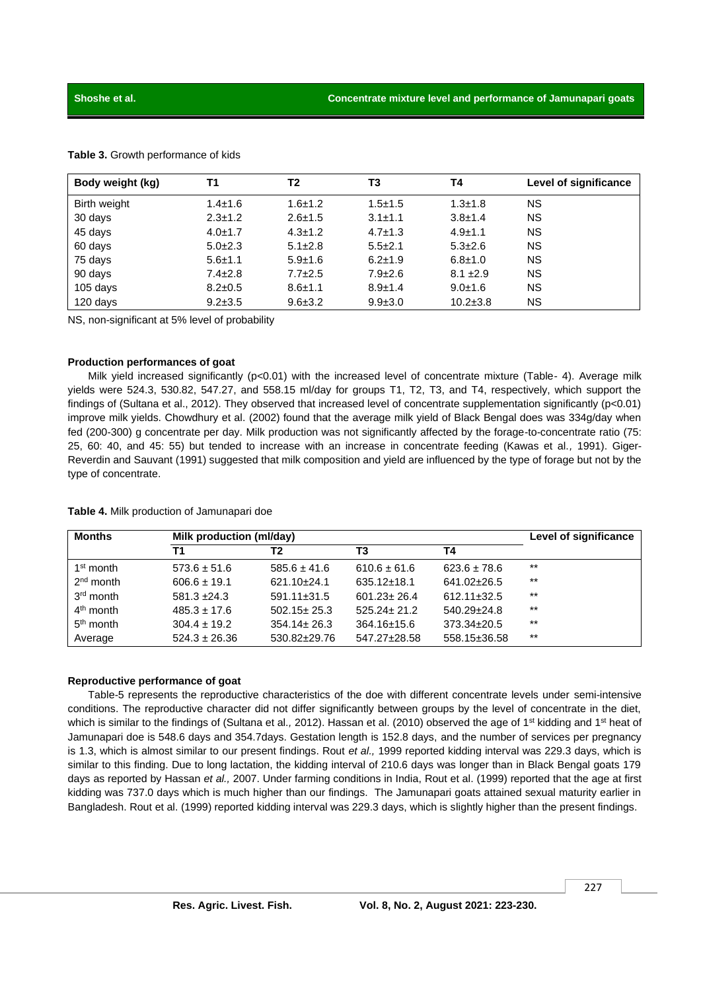| Body weight (kg) | Τ1            | T2            | T3            | T4            | Level of significance |
|------------------|---------------|---------------|---------------|---------------|-----------------------|
| Birth weight     | $1.4 \pm 1.6$ | $1.6 + 1.2$   | $1.5 + 1.5$   | $1.3 \pm 1.8$ | <b>NS</b>             |
| 30 days          | $2.3 \pm 1.2$ | $2.6 \pm 1.5$ | $3.1 \pm 1.1$ | $3.8 + 1.4$   | <b>NS</b>             |
| 45 days          | $4.0 + 1.7$   | $4.3 \pm 1.2$ | $4.7 \pm 1.3$ | $4.9 \pm 1.1$ | <b>NS</b>             |
| 60 days          | $5.0 \pm 2.3$ | $5.1 \pm 2.8$ | $5.5 \pm 2.1$ | $5.3 \pm 2.6$ | <b>NS</b>             |
| 75 days          | $5.6 \pm 1.1$ | $5.9 \pm 1.6$ | $6.2 \pm 1.9$ | $6.8 \pm 1.0$ | <b>NS</b>             |
| 90 days          | $7.4 \pm 2.8$ | $7.7 \pm 2.5$ | $7.9 \pm 2.6$ | $8.1 \pm 2.9$ | <b>NS</b>             |
| 105 days         | $8.2 \pm 0.5$ | $8.6 \pm 1.1$ | $8.9 \pm 1.4$ | $9.0 \pm 1.6$ | <b>NS</b>             |
| 120 days         | $9.2 \pm 3.5$ | $9.6 \pm 3.2$ | $9.9 \pm 3.0$ | $10.2 + 3.8$  | <b>NS</b>             |

#### **Table 3.** Growth performance of kids

NS, non-significant at 5% level of probability

#### **Production performances of goat**

Milk yield increased significantly (p<0.01) with the increased level of concentrate mixture (Table- 4). Average milk yields were 524.3, 530.82, 547.27, and 558.15 ml/day for groups T1, T2, T3, and T4, respectively, which support the findings of (Sultana et al., 2012). They observed that increased level of concentrate supplementation significantly (p<0.01) improve milk yields. Chowdhury et al. (2002) found that the average milk yield of Black Bengal does was 334g/day when fed (200-300) g concentrate per day. Milk production was not significantly affected by the forage-to-concentrate ratio (75: 25, 60: 40, and 45: 55) but tended to increase with an increase in concentrate feeding (Kawas et al.*,* 1991). Giger-Reverdin and Sauvant (1991) suggested that milk composition and yield are influenced by the type of forage but not by the type of concentrate.

| <b>Months</b>         |                   | Milk production (ml/day) |                   |                   |       |  |
|-----------------------|-------------------|--------------------------|-------------------|-------------------|-------|--|
|                       | Τ1                | Т2                       | T3                | Τ4                |       |  |
| 1 <sup>st</sup> month | $573.6 \pm 51.6$  | $585.6 \pm 41.6$         | $610.6 \pm 61.6$  | $623.6 \pm 78.6$  | $***$ |  |
| 2 <sup>nd</sup> month | $606.6 \pm 19.1$  | $621.10+24.1$            | $635.12 \pm 18.1$ | 641.02±26.5       | $***$ |  |
| $3rd$ month           | $581.3 \pm 24.3$  | $591.11 \pm 31.5$        | $601.23 \pm 26.4$ | $612.11 \pm 32.5$ | $***$ |  |
| $4th$ month           | $485.3 \pm 17.6$  | $502.15 \pm 25.3$        | $525.24 + 21.2$   | $540.29 \pm 24.8$ | $***$ |  |
| 5 <sup>th</sup> month | $304.4 \pm 19.2$  | $354.14 \pm 26.3$        | $364.16 \pm 15.6$ | $373.34 \pm 20.5$ | $***$ |  |
| Average               | $524.3 \pm 26.36$ | 530.82±29.76             | 547.27±28.58      | 558.15±36.58      | $***$ |  |

#### **Table 4.** Milk production of Jamunapari doe

#### **Reproductive performance of goat**

Table-5 represents the reproductive characteristics of the doe with different concentrate levels under semi-intensive conditions. The reproductive character did not differ significantly between groups by the level of concentrate in the diet, which is similar to the findings of (Sultana et al., 2012). Hassan et al. (2010) observed the age of 1<sup>st</sup> kidding and 1<sup>st</sup> heat of Jamunapari doe is 548.6 days and 354.7days. Gestation length is 152.8 days, and the number of services per pregnancy is 1.3, which is almost similar to our present findings. Rout *et al.,* 1999 reported kidding interval was 229.3 days, which is similar to this finding. Due to long lactation, the kidding interval of 210.6 days was longer than in Black Bengal goats 179 days as reported by Hassan *et al.,* 2007. Under farming conditions in India, Rout et al. (1999) reported that the age at first kidding was 737.0 days which is much higher than our findings. The Jamunapari goats attained sexual maturity earlier in Bangladesh. Rout et al. (1999) reported kidding interval was 229.3 days, which is slightly higher than the present findings.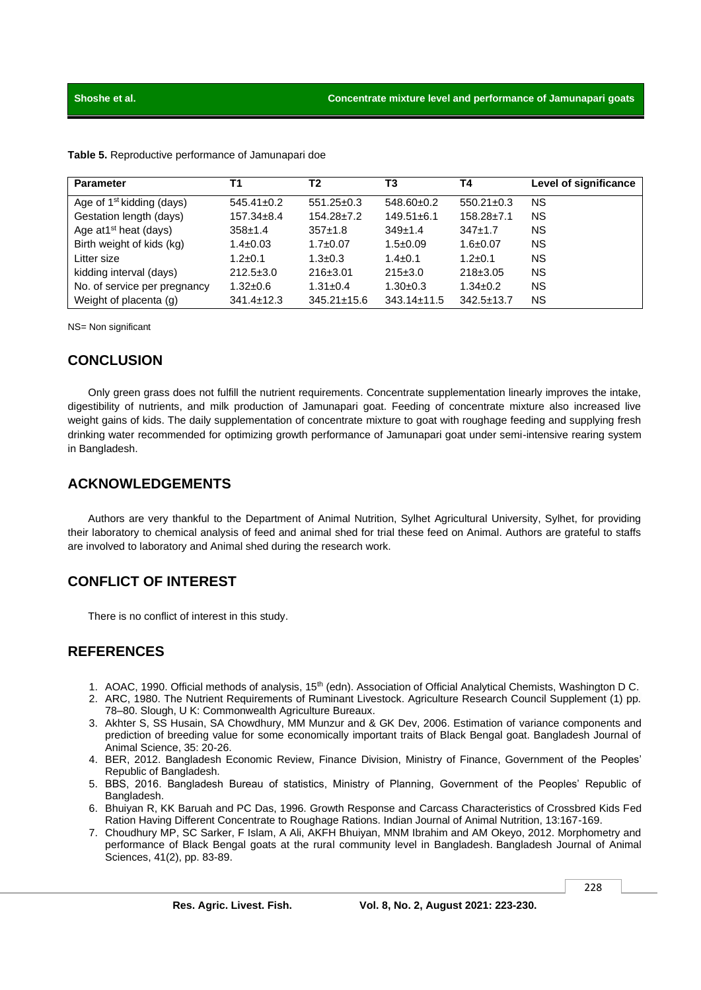| <b>Parameter</b>                      | Τ1               | T2                | T3                | T4               | Level of significance |
|---------------------------------------|------------------|-------------------|-------------------|------------------|-----------------------|
| Age of 1 <sup>st</sup> kidding (days) | $545.41 \pm 0.2$ | $551.25 \pm 0.3$  | $548.60 \pm 0.2$  | $550.21 \pm 0.3$ | <b>NS</b>             |
| Gestation length (days)               | $157.34 \pm 8.4$ | $154.28 \pm 7.2$  | $149.51 \pm 6.1$  | $158.28 \pm 7.1$ | <b>NS</b>             |
| Age at $1st$ heat (days)              | $358+1.4$        | $357+1.8$         | $349+1.4$         | $347+1.7$        | ΝS                    |
| Birth weight of kids (kg)             | $1.4 \pm 0.03$   | $1.7 \pm 0.07$    | $1.5 \pm 0.09$    | $1.6 \pm 0.07$   | <b>NS</b>             |
| Litter size                           | $1.2 \pm 0.1$    | $1.3 \pm 0.3$     | $1.4 \pm 0.1$     | $1.2 \pm 0.1$    | <b>NS</b>             |
| kidding interval (days)               | $212.5 \pm 3.0$  | $216 \pm 3.01$    | $215\pm3.0$       | $218 \pm 3.05$   | <b>NS</b>             |
| No. of service per pregnancy          | $1.32 \pm 0.6$   | $1.31 \pm 0.4$    | $1.30+0.3$        | $1.34 \pm 0.2$   | <b>NS</b>             |
| Weight of placenta (g)                | $341.4 \pm 12.3$ | $345.21 \pm 15.6$ | $343.14 \pm 11.5$ | $342.5 \pm 13.7$ | <b>NS</b>             |

**Table 5.** Reproductive performance of Jamunapari doe

NS= Non significant

# **CONCLUSION**

Only green grass does not fulfill the nutrient requirements. Concentrate supplementation linearly improves the intake, digestibility of nutrients, and milk production of Jamunapari goat. Feeding of concentrate mixture also increased live weight gains of kids. The daily supplementation of concentrate mixture to goat with roughage feeding and supplying fresh drinking water recommended for optimizing growth performance of Jamunapari goat under semi-intensive rearing system in Bangladesh.

# **ACKNOWLEDGEMENTS**

Authors are very thankful to the Department of Animal Nutrition, Sylhet Agricultural University, Sylhet, for providing their laboratory to chemical analysis of feed and animal shed for trial these feed on Animal. Authors are grateful to staffs are involved to laboratory and Animal shed during the research work.

# **CONFLICT OF INTEREST**

There is no conflict of interest in this study.

# **REFERENCES**

- 1. AOAC, 1990. Official methods of analysis, 15<sup>th</sup> (edn). Association of Official Analytical Chemists, Washington D C.
- 2. ARC, 1980. The Nutrient Requirements of Ruminant Livestock. Agriculture Research Council Supplement (1) pp. 78–80. Slough, U K: Commonwealth Agriculture Bureaux.
- 3. Akhter S, SS Husain, SA Chowdhury, MM Munzur and & GK Dev, 2006. Estimation of variance components and prediction of breeding value for some economically important traits of Black Bengal goat. Bangladesh Journal of Animal Science, 35: 20-26.
- 4. BER, 2012. Bangladesh Economic Review, Finance Division, Ministry of Finance, Government of the Peoples' Republic of Bangladesh.
- 5. BBS, 2016. Bangladesh Bureau of statistics, Ministry of Planning, Government of the Peoples' Republic of Bangladesh.
- 6. Bhuiyan R, KK Baruah and PC Das, 1996. Growth Response and Carcass Characteristics of Crossbred Kids Fed Ration Having Different Concentrate to Roughage Rations. Indian Journal of Animal Nutrition, 13:167-169.
- 7. Choudhury MP, SC Sarker, F Islam, A Ali, AKFH Bhuiyan, MNM Ibrahim and AM Okeyo, 2012. Morphometry and performance of Black Bengal goats at the rural community level in Bangladesh. Bangladesh Journal of Animal Sciences, 41(2), pp. 83-89.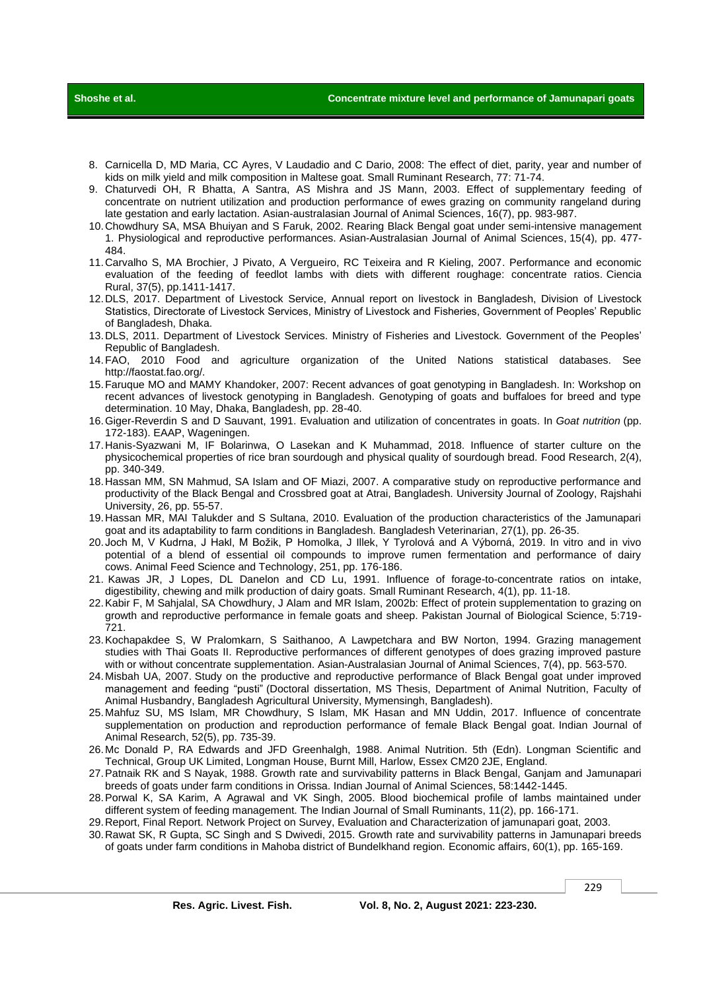**Shoshe et al. Concentrate mixture level and performance of Jamunapari goats** 

- 8. Carnicella D, MD Maria, CC Ayres, V Laudadio and C Dario, 2008: The effect of diet, parity, year and number of kids on milk yield and milk composition in Maltese goat. Small Ruminant Research, 77: 71-74.
- 9. Chaturvedi OH, R Bhatta, A Santra, AS Mishra and JS Mann, 2003. Effect of supplementary feeding of concentrate on nutrient utilization and production performance of ewes grazing on community rangeland during late gestation and early lactation. Asian-australasian Journal of Animal Sciences, 16(7), pp. 983-987.
- 10.Chowdhury SA, MSA Bhuiyan and S Faruk, 2002. Rearing Black Bengal goat under semi-intensive management 1. Physiological and reproductive performances. Asian-Australasian Journal of Animal Sciences, 15(4), pp. 477- 484.
- 11.Carvalho S, MA Brochier, J Pivato, A Vergueiro, RC Teixeira and R Kieling, 2007. Performance and economic evaluation of the feeding of feedlot lambs with diets with different roughage: concentrate ratios. Ciencia Rural, 37(5), pp.1411-1417.
- 12.DLS, 2017. Department of Livestock Service, Annual report on livestock in Bangladesh, Division of Livestock Statistics, Directorate of Livestock Services, Ministry of Livestock and Fisheries, Government of Peoples' Republic of Bangladesh, Dhaka.
- 13.DLS, 2011. Department of Livestock Services. Ministry of Fisheries and Livestock. Government of the Peoples' Republic of Bangladesh.
- 14.FAO, 2010 Food and agriculture organization of the United Nations statistical databases. See http://faostat.fao.org/.
- 15.Faruque MO and MAMY Khandoker, 2007: Recent advances of goat genotyping in Bangladesh. In: Workshop on recent advances of livestock genotyping in Bangladesh. Genotyping of goats and buffaloes for breed and type determination. 10 May, Dhaka, Bangladesh, pp. 28-40.
- 16.Giger-Reverdin S and D Sauvant, 1991. Evaluation and utilization of concentrates in goats. In *Goat nutrition* (pp. 172-183). EAAP, Wageningen.
- 17.Hanis-Syazwani M, IF Bolarinwa, O Lasekan and K Muhammad, 2018. Influence of starter culture on the physicochemical properties of rice bran sourdough and physical quality of sourdough bread. Food Research, 2(4), pp. 340-349.
- 18.Hassan MM, SN Mahmud, SA Islam and OF Miazi, 2007. A comparative study on reproductive performance and productivity of the Black Bengal and Crossbred goat at Atrai, Bangladesh. University Journal of Zoology, Rajshahi University, 26, pp. 55-57.
- 19.Hassan MR, MAI Talukder and S Sultana, 2010. Evaluation of the production characteristics of the Jamunapari goat and its adaptability to farm conditions in Bangladesh. Bangladesh Veterinarian, 27(1), pp. 26-35.
- 20.Joch M, V Kudrna, J Hakl, M Božik, P Homolka, J Illek, Y Tyrolová and A Výborná, 2019. In vitro and in vivo potential of a blend of essential oil compounds to improve rumen fermentation and performance of dairy cows. Animal Feed Science and Technology, 251, pp. 176-186.
- 21. Kawas JR, J Lopes, DL Danelon and CD Lu, 1991. Influence of forage-to-concentrate ratios on intake, digestibility, chewing and milk production of dairy goats. Small Ruminant Research, 4(1), pp. 11-18.
- 22.Kabir F, M Sahjalal, SA Chowdhury, J Alam and MR Islam, 2002b: Effect of protein supplementation to grazing on growth and reproductive performance in female goats and sheep. Pakistan Journal of Biological Science, 5:719- 721.
- 23.Kochapakdee S, W Pralomkarn, S Saithanoo, A Lawpetchara and BW Norton, 1994. Grazing management studies with Thai Goats II. Reproductive performances of different genotypes of does grazing improved pasture with or without concentrate supplementation. Asian-Australasian Journal of Animal Sciences, 7(4), pp. 563-570.
- 24.Misbah UA, 2007. Study on the productive and reproductive performance of Black Bengal goat under improved management and feeding "pusti" (Doctoral dissertation, MS Thesis, Department of Animal Nutrition, Faculty of Animal Husbandry, Bangladesh Agricultural University, Mymensingh, Bangladesh).
- 25.Mahfuz SU, MS Islam, MR Chowdhury, S Islam, MK Hasan and MN Uddin, 2017. Influence of concentrate supplementation on production and reproduction performance of female Black Bengal goat. Indian Journal of Animal Research, 52(5), pp. 735-39.
- 26.Mc Donald P, RA Edwards and JFD Greenhalgh, 1988. Animal Nutrition. 5th (Edn). Longman Scientific and Technical, Group UK Limited, Longman House, Burnt Mill, Harlow, Essex CM20 2JE, England.
- 27.Patnaik RK and S Nayak, 1988. Growth rate and survivability patterns in Black Bengal, Ganjam and Jamunapari breeds of goats under farm conditions in Orissa. Indian Journal of Animal Sciences, 58:1442-1445.
- 28.Porwal K, SA Karim, A Agrawal and VK Singh, 2005. Blood biochemical profile of lambs maintained under different system of feeding management. The Indian Journal of Small Ruminants, 11(2), pp. 166-171.
- 29.Report, Final Report. Network Project on Survey, Evaluation and Characterization of jamunapari goat, 2003. 30.Rawat SK, R Gupta, SC Singh and S Dwivedi, 2015. Growth rate and survivability patterns in Jamunapari breeds
- of goats under farm conditions in Mahoba district of Bundelkhand region. Economic affairs, 60(1), pp. 165-169.